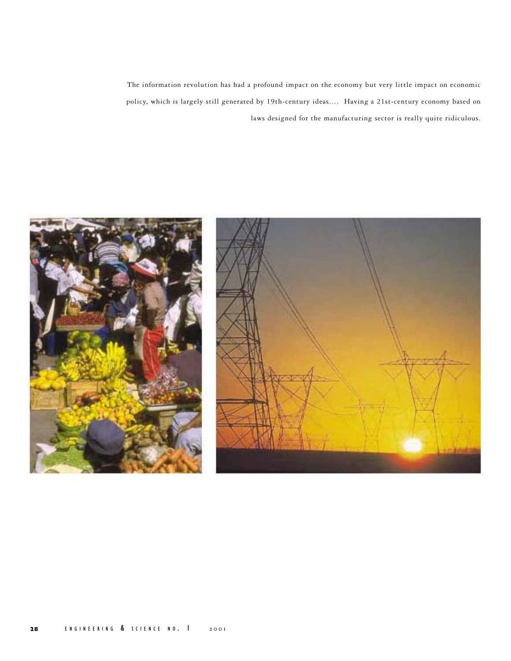The information revolution has had a profound impact on the economy but very little impact on economic policy, which is largely still generated by 19th-century ideas.… Having a 21st-century economy based on laws designed for the manufacturing sector is really quite ridiculous.

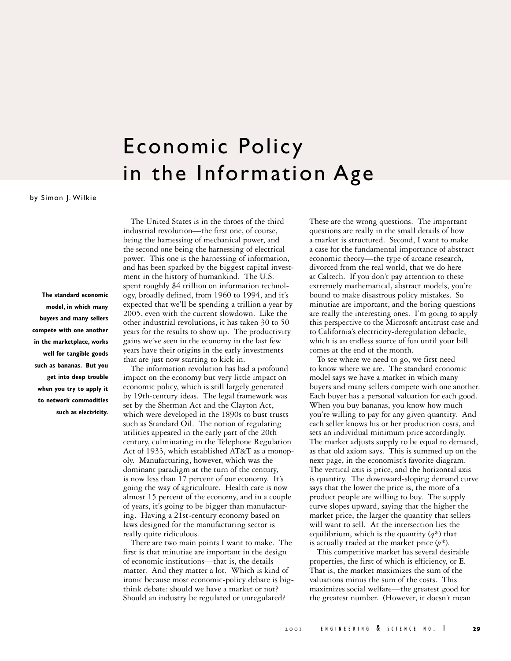## Economic Policy in the Information Age

by Simon J. Wilkie

**The standard economic model, in which many buyers and many sellers compete with one another in the marketplace, works well for tangible goods such as bananas. But you get into deep trouble when you try to apply it to network commodities such as electricity.**

The United States is in the throes of the third industrial revolution—the first one, of course, being the harnessing of mechanical power, and the second one being the harnessing of electrical power. This one is the harnessing of information, and has been sparked by the biggest capital investment in the history of humankind. The U.S. spent roughly \$4 trillion on information technology, broadly defined, from 1960 to 1994, and it's expected that we'll be spending a trillion a year by 2005, even with the current slowdown. Like the other industrial revolutions, it has taken 30 to 50 years for the results to show up. The productivity gains we've seen in the economy in the last few years have their origins in the early investments that are just now starting to kick in.

The information revolution has had a profound impact on the economy but very little impact on economic policy, which is still largely generated by 19th-century ideas. The legal framework was set by the Sherman Act and the Clayton Act, which were developed in the 1890s to bust trusts such as Standard Oil. The notion of regulating utilities appeared in the early part of the 20th century, culminating in the Telephone Regulation Act of 1933, which established AT&T as a monopoly. Manufacturing, however, which was the dominant paradigm at the turn of the century, is now less than 17 percent of our economy. It's going the way of agriculture. Health care is now almost 15 percent of the economy, and in a couple of years, it's going to be bigger than manufacturing. Having a 21st-century economy based on laws designed for the manufacturing sector is really quite ridiculous.

There are two main points I want to make. The first is that minutiae are important in the design of economic institutions—that is, the details matter. And they matter a lot. Which is kind of ironic because most economic-policy debate is bigthink debate: should we have a market or not? Should an industry be regulated or unregulated?

These are the wrong questions. The important questions are really in the small details of how a market is structured. Second, I want to make a case for the fundamental importance of abstract economic theory—the type of arcane research, divorced from the real world, that we do here at Caltech. If you don't pay attention to these extremely mathematical, abstract models, you're bound to make disastrous policy mistakes. So minutiae are important, and the boring questions are really the interesting ones. I'm going to apply this perspective to the Microsoft antitrust case and to California's electricity-deregulation debacle, which is an endless source of fun until your bill comes at the end of the month.

To see where we need to go, we first need to know where we are. The standard economic model says we have a market in which many buyers and many sellers compete with one another. Each buyer has a personal valuation for each good. When you buy bananas, you know how much you're willing to pay for any given quantity. And each seller knows his or her production costs, and sets an individual minimum price accordingly. The market adjusts supply to be equal to demand, as that old axiom says. This is summed up on the next page, in the economist's favorite diagram. The vertical axis is price, and the horizontal axis is quantity. The downward-sloping demand curve says that the lower the price is, the more of a product people are willing to buy. The supply curve slopes upward, saying that the higher the market price, the larger the quantity that sellers will want to sell. At the intersection lies the equilibrium, which is the quantity  $(q^*)$  that is actually traded at the market price (*p\**).

This competitive market has several desirable properties, the first of which is efficiency, or **E**. That is, the market maximizes the sum of the valuations minus the sum of the costs. This maximizes social welfare—the greatest good for the greatest number. (However, it doesn't mean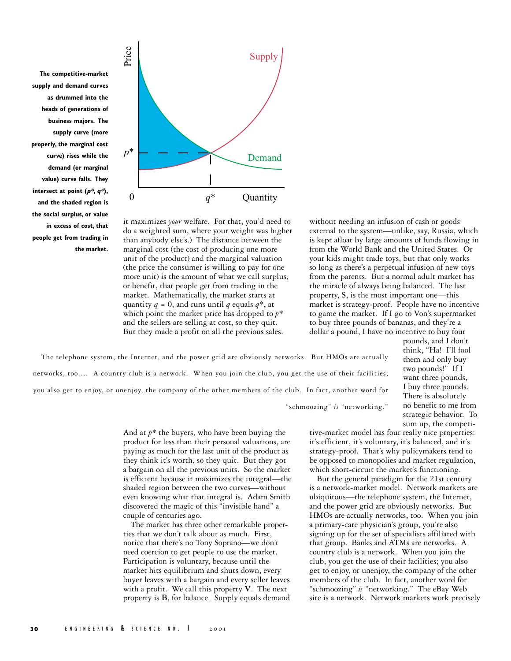**The competitive-market supply and demand curves as drummed into the heads of generations of business majors. The supply curve (more properly, the marginal cost curve) rises while the demand (or marginal value) curve falls. They intersect at point (p\*, q\*), and the shaded region is the social surplus, or value in excess of cost, that people get from trading in the market.**



it maximizes *your* welfare. For that, you'd need to do a weighted sum, where your weight was higher than anybody else's.) The distance between the marginal cost (the cost of producing one more unit of the product) and the marginal valuation (the price the consumer is willing to pay for one more unit) is the amount of what we call surplus, or benefit, that people get from trading in the market. Mathematically, the market starts at quantity  $q = 0$ , and runs until *q* equals  $q^*$ , at which point the market price has dropped to *p\** and the sellers are selling at cost, so they quit. But they made a profit on all the previous sales.

without needing an infusion of cash or goods external to the system—unlike, say, Russia, which is kept afloat by large amounts of funds flowing in from the World Bank and the United States. Or your kids might trade toys, but that only works so long as there's a perpetual infusion of new toys from the parents. But a normal adult market has the miracle of always being balanced. The last property, **S**, is the most important one—this market is strategy-proof. People have no incentive to game the market. If I go to Von's supermarket to buy three pounds of bananas, and they're a dollar a pound, I have no incentive to buy four

> pounds, and I don't think, "Ha! I'll fool them and only buy two pounds!" If I want three pounds, I buy three pounds. There is absolutely no benefit to me from strategic behavior. To sum up, the competi-

The telephone system, the Internet, and the power grid are obviously networks. But HMOs are actually networks, too.… A country club is a network. When you join the club, you get the use of their facilities; you also get to enjoy, or unenjoy, the company of the other members of the club. In fact, another word for

"schmoozing" *is* "networking."

And at *p\** the buyers, who have been buying the product for less than their personal valuations, are paying as much for the last unit of the product as they think it's worth, so they quit. But they got a bargain on all the previous units. So the market is efficient because it maximizes the integral—the shaded region between the two curves—without even knowing what that integral is. Adam Smith discovered the magic of this "invisible hand" a couple of centuries ago.

The market has three other remarkable properties that we don't talk about as much. First, notice that there's no Tony Soprano—we don't need coercion to get people to use the market. Participation is voluntary, because until the market hits equilibrium and shuts down, every buyer leaves with a bargain and every seller leaves with a profit. We call this property **V**. The next property is **B**, for balance. Supply equals demand

tive-market model has four really nice properties: it's efficient, it's voluntary, it's balanced, and it's strategy-proof. That's why policymakers tend to be opposed to monopolies and market regulation, which short-circuit the market's functioning.

But the general paradigm for the 21st century is a network-market model. Network markets are ubiquitous—the telephone system, the Internet, and the power grid are obviously networks. But HMOs are actually networks, too. When you join a primary-care physician's group, you're also signing up for the set of specialists affiliated with that group. Banks and ATMs are networks. A country club is a network. When you join the club, you get the use of their facilities; you also get to enjoy, or unenjoy, the company of the other members of the club. In fact, another word for "schmoozing" *is* "networking." The eBay Web site is a network. Network markets work precisely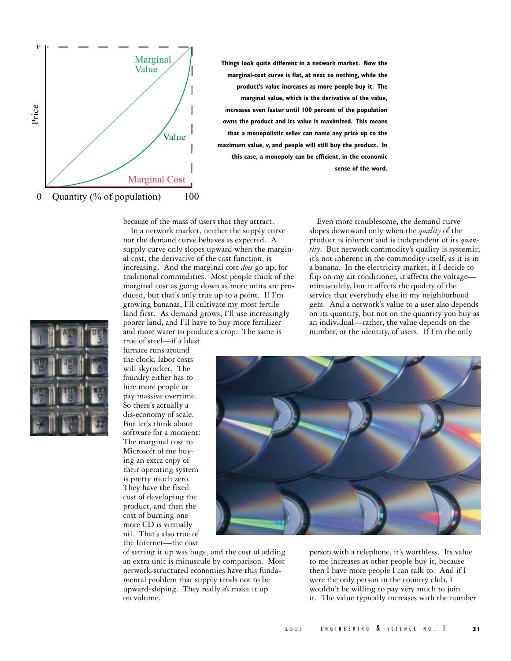

**Things look quite different in a network market. Now the marginal-cost curve is flat, at next to nothing, while the product's value increases as more people buy it. The marginal value, which is the derivative of the value, increases even faster until 100 percent of the population owns the product and its value is maximized. This means that a monopolistic seller can name any price up to the maximum value, v, and people will still buy the product. In this case, a monopoly can be efficient, in the economic sense of the word.**

because of the mass of users that they attract. In a network market, neither the supply curve nor the demand curve behaves as expected. A supply curve only slopes upward when the marginal cost, the derivative of the cost function, is increasing. And the marginal cost *does* go up, for traditional commodities. Most people think of the marginal cost as going down as more units are produced, but that's only true up to a point. If I'm growing bananas, I'll cultivate my most fertile land first. As demand grows, I'll use increasingly poorer land, and I'll have to buy more fertilizer and more water to produce a crop. The same is

Even more troublesome, the demand curve slopes downward only when the *quality* of the product is inherent and is independent of its *quantity*. But network commodity's quality is systemic; it's not inherent in the commodity itself, as it is in a banana. In the electricity market, if I decide to flip on my air conditioner, it affects the voltage minusculely, but it affects the quality of the service that everybody else in my neighborhood gets. And a network's value to a user also depends on its quantity, but not on the quantity you buy as an individual—rather, the value depends on the number, or the identity, of users. If I'm the only



true of steel—if a blast furnace runs around the clock, labor costs will skyrocket. The foundry either has to hire more people or pay massive overtime. So there's actually a dis-economy of scale. But let's think about software for a moment: The marginal cost to Microsoft of me buying an extra copy of their operating system is pretty much zero. They have the fixed cost of developing the product, and then the cost of burning one more CD is virtually nil. That's also true of the Internet—the cost

of setting it up was huge, and the cost of adding an extra unit is minuscule by comparison. Most network-structured economies have this fundamental problem that supply tends not to be upward-sloping. They really *do* make it up on volume.

person with a telephone, it's worthless. Its value to me increases as other people buy it, because then I have more people I can talk to. And if I were the only person in the country club, I wouldn't be willing to pay very much to join it. The value typically increases with the number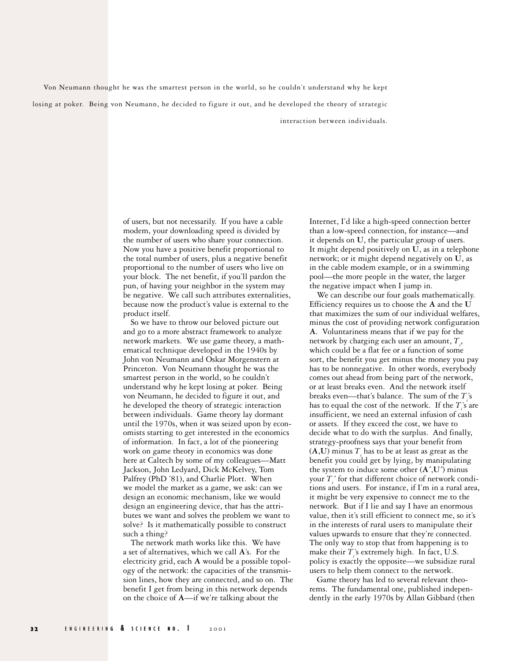Von Neumann thought he was the smartest person in the world, so he couldn't understand why he kept losing at poker. Being von Neumann, he decided to figure it out, and he developed the theory of strategic interaction between individuals.

> of users, but not necessarily. If you have a cable modem, your downloading speed is divided by the number of users who share your connection. Now you have a positive benefit proportional to the total number of users, plus a negative benefit proportional to the number of users who live on your block. The net benefit, if you'll pardon the pun, of having your neighbor in the system may be negative. We call such attributes externalities, because now the product's value is external to the product itself.

> So we have to throw our beloved picture out and go to a more abstract framework to analyze network markets. We use game theory, a mathematical technique developed in the 1940s by John von Neumann and Oskar Morgenstern at Princeton. Von Neumann thought he was the smartest person in the world, so he couldn't understand why he kept losing at poker. Being von Neumann, he decided to figure it out, and he developed the theory of strategic interaction between individuals. Game theory lay dormant until the 1970s, when it was seized upon by economists starting to get interested in the economics of information. In fact, a lot of the pioneering work on game theory in economics was done here at Caltech by some of my colleagues—Matt Jackson, John Ledyard, Dick McKelvey, Tom Palfrey (PhD '81), and Charlie Plott. When we model the market as a game, we ask: can we design an economic mechanism, like we would design an engineering device, that has the attributes we want and solves the problem we want to solve? Is it mathematically possible to construct such a thing?

The network math works like this. We have a set of alternatives, which we call **A**'s. For the electricity grid, each **A** would be a possible topology of the network: the capacities of the transmission lines, how they are connected, and so on. The benefit I get from being in this network depends on the choice of **A**—if we're talking about the

Internet, I'd like a high-speed connection better than a low-speed connection, for instance—and it depends on **U**, the particular group of users. It might depend positively on **U**, as in a telephone network; or it might depend negatively on **U**, as in the cable modem example, or in a swimming pool—the more people in the water, the larger the negative impact when I jump in.

We can describe our four goals mathematically. Efficiency requires us to choose the **A** and the **U** that maximizes the sum of our individual welfares, minus the cost of providing network configuration **A**. Voluntariness means that if we pay for the network by charging each user an amount,  $T_i$ , which could be a flat fee or a function of some sort, the benefit you get minus the money you pay has to be nonnegative. In other words, everybody comes out ahead from being part of the network, or at least breaks even. And the network itself breaks even—that's balance. The sum of the  $T_i$ 's has to equal the cost of the network. If the *T*<sup>'</sup><sub>*i*</sub>'s are insufficient, we need an external infusion of cash or assets. If they exceed the cost, we have to decide what to do with the surplus. And finally, strategy-proofness says that your benefit from  $(A, U)$  minus  $T_i$  has to be at least as great as the benefit you could get by lying, by manipulating the system to induce some other  $(A',U')$  minus your  $T_i^{\prime}$  for that different choice of network conditions and users. For instance, if I'm in a rural area, it might be very expensive to connect me to the network. But if I lie and say I have an enormous value, then it's still efficient to connect me, so it's in the interests of rural users to manipulate their values upwards to ensure that they're connected. The only way to stop that from happening is to make their  $T_i$ 's extremely high. In fact, U.S. policy is exactly the opposite—we subsidize rural users to help them connect to the network.

Game theory has led to several relevant theorems. The fundamental one, published independently in the early 1970s by Allan Gibbard (then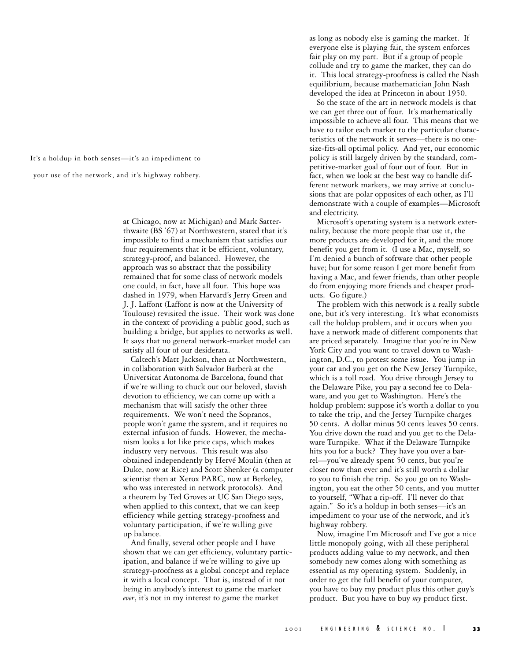It's a holdup in both senses—it's an impediment to

your use of the network, and it's highway robbery.

at Chicago, now at Michigan) and Mark Satterthwaite (BS '67) at Northwestern, stated that it's impossible to find a mechanism that satisfies our four requirements that it be efficient, voluntary, strategy-proof, and balanced. However, the approach was so abstract that the possibility remained that for some class of network models one could, in fact, have all four. This hope was dashed in 1979, when Harvard's Jerry Green and J. J. Laffont (Laffont is now at the University of Toulouse) revisited the issue. Their work was done in the context of providing a public good, such as building a bridge, but applies to networks as well. It says that no general network-market model can satisfy all four of our desiderata.

Caltech's Matt Jackson, then at Northwestern, in collaboration with Salvador Barberà at the Universitat Autonoma de Barcelona, found that if we're willing to chuck out our beloved, slavish devotion to efficiency, we can come up with a mechanism that will satisfy the other three requirements. We won't need the Sopranos, people won't game the system, and it requires no external infusion of funds. However, the mechanism looks a lot like price caps, which makes industry very nervous. This result was also obtained independently by Hervé Moulin (then at Duke, now at Rice) and Scott Shenker (a computer scientist then at Xerox PARC, now at Berkeley, who was interested in network protocols). And a theorem by Ted Groves at UC San Diego says, when applied to this context, that we can keep efficiency while getting strategy-proofness and voluntary participation, if we're willing give up balance.

And finally, several other people and I have shown that we can get efficiency, voluntary participation, and balance if we're willing to give up strategy-proofness as a global concept and replace it with a local concept. That is, instead of it not being in anybody's interest to game the market *ever*, it's not in my interest to game the market

as long as nobody else is gaming the market. If everyone else is playing fair, the system enforces fair play on my part. But if a group of people collude and try to game the market, they can do it. This local strategy-proofness is called the Nash equilibrium, because mathematician John Nash developed the idea at Princeton in about 1950.

So the state of the art in network models is that we can get three out of four. It's mathematically impossible to achieve all four. This means that we have to tailor each market to the particular characteristics of the network it serves—there is no onesize-fits-all optimal policy. And yet, our economic policy is still largely driven by the standard, competitive-market goal of four out of four. But in fact, when we look at the best way to handle different network markets, we may arrive at conclusions that are polar opposites of each other, as I'll demonstrate with a couple of examples—Microsoft and electricity.

Microsoft's operating system is a network externality, because the more people that use it, the more products are developed for it, and the more benefit you get from it. (I use a Mac, myself, so I'm denied a bunch of software that other people have; but for some reason I get more benefit from having a Mac, and fewer friends, than other people do from enjoying more friends and cheaper products. Go figure.)

The problem with this network is a really subtle one, but it's very interesting. It's what economists call the holdup problem, and it occurs when you have a network made of different components that are priced separately. Imagine that you're in New York City and you want to travel down to Washington, D.C., to protest some issue. You jump in your car and you get on the New Jersey Turnpike, which is a toll road. You drive through Jersey to the Delaware Pike, you pay a second fee to Delaware, and you get to Washington. Here's the holdup problem: suppose it's worth a dollar to you to take the trip, and the Jersey Turnpike charges 50 cents. A dollar minus 50 cents leaves 50 cents. You drive down the road and you get to the Delaware Turnpike. What if the Delaware Turnpike hits you for a buck? They have you over a barrel—you've already spent 50 cents, but you're closer now than ever and it's still worth a dollar to you to finish the trip. So you go on to Washington, you eat the other 50 cents, and you mutter to yourself, "What a rip-off. I'll never do that again." So it's a holdup in both senses—it's an impediment to your use of the network, and it's highway robbery.

Now, imagine I'm Microsoft and I've got a nice little monopoly going, with all these peripheral products adding value to my network, and then somebody new comes along with something as essential as my operating system. Suddenly, in order to get the full benefit of your computer, you have to buy my product plus this other guy's product. But you have to buy *my* product first.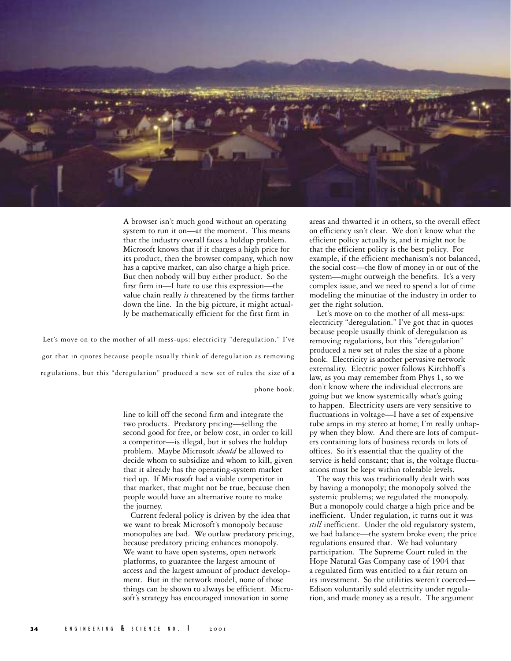

A browser isn't much good without an operating system to run it on—at the moment. This means that the industry overall faces a holdup problem. Microsoft knows that if it charges a high price for its product, then the browser company, which now has a captive market, can also charge a high price. But then nobody will buy either product. So the first firm in—I hate to use this expression—the value chain really *is* threatened by the firms farther down the line. In the big picture, it might actually be mathematically efficient for the first firm in

Let's move on to the mother of all mess-ups: electricity "deregulation." I've got that in quotes because people usually think of deregulation as removing regulations, but this "deregulation" produced a new set of rules the size of a

phone book.

line to kill off the second firm and integrate the two products. Predatory pricing—selling the second good for free, or below cost, in order to kill a competitor—is illegal, but it solves the holdup problem. Maybe Microsoft *should* be allowed to decide whom to subsidize and whom to kill, given that it already has the operating-system market tied up. If Microsoft had a viable competitor in that market, that might not be true, because then people would have an alternative route to make the journey.

Current federal policy is driven by the idea that we want to break Microsoft's monopoly because monopolies are bad. We outlaw predatory pricing, because predatory pricing enhances monopoly. We want to have open systems, open network platforms, to guarantee the largest amount of access and the largest amount of product development. But in the network model, none of those things can be shown to always be efficient. Microsoft's strategy has encouraged innovation in some

areas and thwarted it in others, so the overall effect on efficiency isn't clear. We don't know what the efficient policy actually is, and it might not be that the efficient policy is the best policy. For example, if the efficient mechanism's not balanced, the social cost—the flow of money in or out of the system—might outweigh the benefits. It's a very complex issue, and we need to spend a lot of time modeling the minutiae of the industry in order to get the right solution.

Let's move on to the mother of all mess-ups: electricity "deregulation." I've got that in quotes because people usually think of deregulation as removing regulations, but this "deregulation" produced a new set of rules the size of a phone book. Electricity is another pervasive network externality. Electric power follows Kirchhoff's law, as you may remember from Phys 1, so we don't know where the individual electrons are going but we know systemically what's going to happen. Electricity users are very sensitive to fluctuations in voltage—I have a set of expensive tube amps in my stereo at home; I'm really unhappy when they blow. And there are lots of computers containing lots of business records in lots of offices. So it's essential that the quality of the service is held constant; that is, the voltage fluctuations must be kept within tolerable levels.

The way this was traditionally dealt with was by having a monopoly; the monopoly solved the systemic problems; we regulated the monopoly. But a monopoly could charge a high price and be inefficient. Under regulation, it turns out it was *still* inefficient. Under the old regulatory system, we had balance—the system broke even; the price regulations ensured that. We had voluntary participation. The Supreme Court ruled in the Hope Natural Gas Company case of 1904 that a regulated firm was entitled to a fair return on its investment. So the utilities weren't coerced— Edison voluntarily sold electricity under regulation, and made money as a result. The argument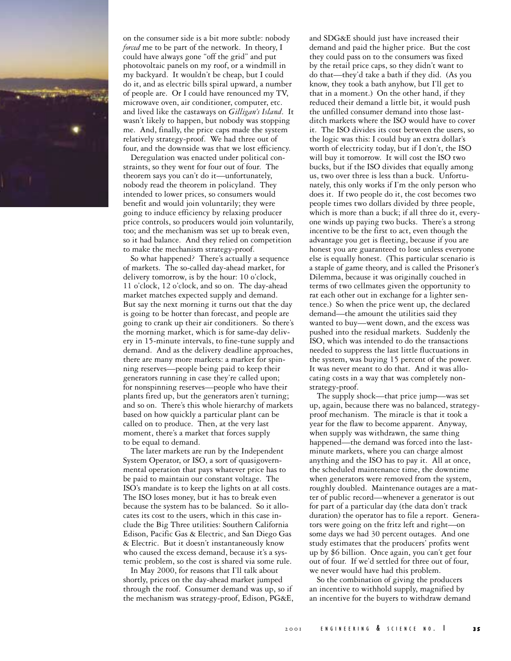

on the consumer side is a bit more subtle: nobody *forced* me to be part of the network. In theory, I could have always gone "off the grid" and put photovoltaic panels on my roof, or a windmill in my backyard. It wouldn't be cheap, but I could do it, and as electric bills spiral upward, a number of people are. Or I could have renounced my TV, microwave oven, air conditioner, computer, etc. and lived like the castaways on *Gilligan's Island*. It wasn't likely to happen, but nobody was stopping me. And, finally, the price caps made the system relatively strategy-proof. We had three out of four, and the downside was that we lost efficiency.

Deregulation was enacted under political constraints, so they went for four out of four. The theorem says you can't do it—unfortunately, nobody read the theorem in policyland. They intended to lower prices, so consumers would benefit and would join voluntarily; they were going to induce efficiency by relaxing producer price controls, so producers would join voluntarily, too; and the mechanism was set up to break even, so it had balance. And they relied on competition to make the mechanism strategy-proof.

So what happened? There's actually a sequence of markets. The so-called day-ahead market, for delivery tomorrow, is by the hour: 10 o'clock, 11 o'clock, 12 o'clock, and so on. The day-ahead market matches expected supply and demand. But say the next morning it turns out that the day is going to be hotter than forecast, and people are going to crank up their air conditioners. So there's the morning market, which is for same-day delivery in 15-minute intervals, to fine-tune supply and demand. And as the delivery deadline approaches, there are many more markets: a market for spinning reserves—people being paid to keep their generators running in case they're called upon; for nonspinning reserves—people who have their plants fired up, but the generators aren't turning; and so on. There's this whole hierarchy of markets based on how quickly a particular plant can be called on to produce. Then, at the very last moment, there's a market that forces supply to be equal to demand.

The later markets are run by the Independent System Operator, or ISO, a sort of quasigovernmental operation that pays whatever price has to be paid to maintain our constant voltage. The ISO's mandate is to keep the lights on at all costs. The ISO loses money, but it has to break even because the system has to be balanced. So it allocates its cost to the users, which in this case include the Big Three utilities: Southern California Edison, Pacific Gas & Electric, and San Diego Gas & Electric. But it doesn't instantaneously know who caused the excess demand, because it's a systemic problem, so the cost is shared via some rule.

In May 2000, for reasons that I'll talk about shortly, prices on the day-ahead market jumped through the roof. Consumer demand was up, so if the mechanism was strategy-proof, Edison, PG&E,

and SDG&E should just have increased their demand and paid the higher price. But the cost they could pass on to the consumers was fixed by the retail price caps, so they didn't want to do that—they'd take a bath if they did. (As you know, they took a bath anyhow, but I'll get to that in a moment.) On the other hand, if they reduced their demand a little bit, it would push the unfilled consumer demand into those lastditch markets where the ISO would have to cover it. The ISO divides its cost between the users, so the logic was this: I could buy an extra dollar's worth of electricity today, but if I don't, the ISO will buy it tomorrow. It will cost the ISO two bucks, but if the ISO divides that equally among us, two over three is less than a buck. Unfortunately, this only works if I'm the only person who does it. If two people do it, the cost becomes two people times two dollars divided by three people, which is more than a buck; if all three do it, everyone winds up paying two bucks. There's a strong incentive to be the first to act, even though the advantage you get is fleeting, because if you are honest you are guaranteed to lose unless everyone else is equally honest. (This particular scenario is a staple of game theory, and is called the Prisoner's Dilemma, because it was originally couched in terms of two cellmates given the opportunity to rat each other out in exchange for a lighter sentence.) So when the price went up, the declared demand—the amount the utilities said they wanted to buy—went down, and the excess was pushed into the residual markets. Suddenly the ISO, which was intended to do the transactions needed to suppress the last little fluctuations in the system, was buying 15 percent of the power. It was never meant to do that. And it was allocating costs in a way that was completely nonstrategy-proof.

The supply shock—that price jump—was set up, again, because there was no balanced, strategyproof mechanism. The miracle is that it took a year for the flaw to become apparent. Anyway, when supply was withdrawn, the same thing happened—the demand was forced into the lastminute markets, where you can charge almost anything and the ISO has to pay it. All at once, the scheduled maintenance time, the downtime when generators were removed from the system, roughly doubled. Maintenance outages are a matter of public record—whenever a generator is out for part of a particular day (the data don't track duration) the operator has to file a report. Generators were going on the fritz left and right—on some days we had 30 percent outages. And one study estimates that the producers' profits went up by \$6 billion. Once again, you can't get four out of four. If we'd settled for three out of four, we never would have had this problem.

So the combination of giving the producers an incentive to withhold supply, magnified by an incentive for the buyers to withdraw demand